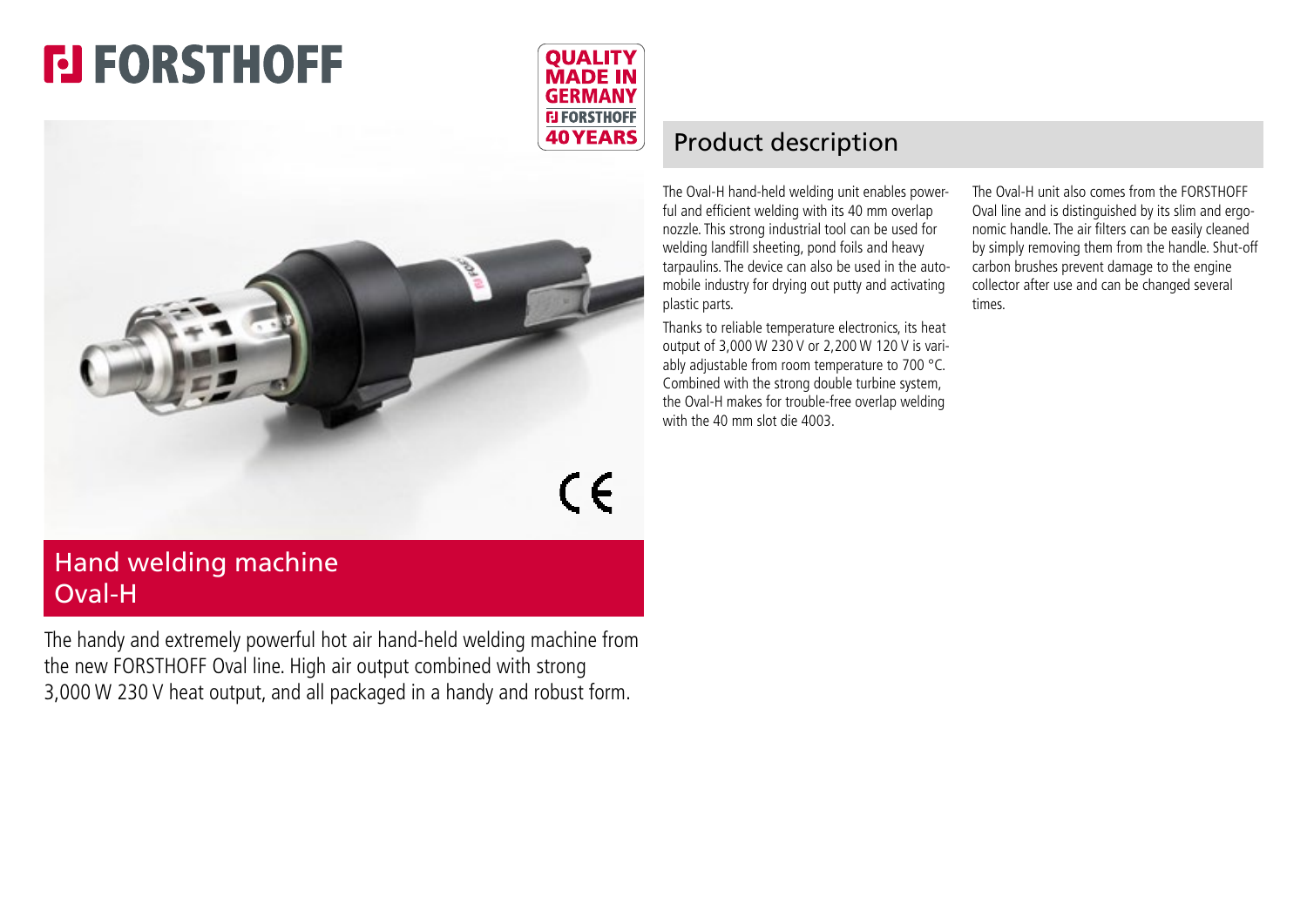# **FI FORSTHOFF**





## Hand welding machine Oval-H

The handy and extremely powerful hot air hand-held welding machine from the new FORSTHOFF Oval line. High air output combined with strong 3,000 W 230 V heat output, and all packaged in a handy and robust form.

### Product description

The Oval-H hand-held welding unit enables powerful and efficient welding with its 40 mm overlap nozzle. This strong industrial tool can be used for welding landfill sheeting, pond foils and heavy tarpaulins. The device can also be used in the automobile industry for drying out putty and activating plastic parts.

Thanks to reliable temperature electronics, its heat output of 3,000 W 230 V or 2,200 W 120 V is variably adjustable from room temperature to 700 °C. Combined with the strong double turbine system, the Oval-H makes for trouble-free overlap welding with the 40 mm slot die 4003.

The Oval-H unit also comes from the FORSTHOFF Oval line and is distinguished by its slim and ergonomic handle. The air filters can be easily cleaned by simply removing them from the handle. Shut-off carbon brushes prevent damage to the engine collector after use and can be changed several times.